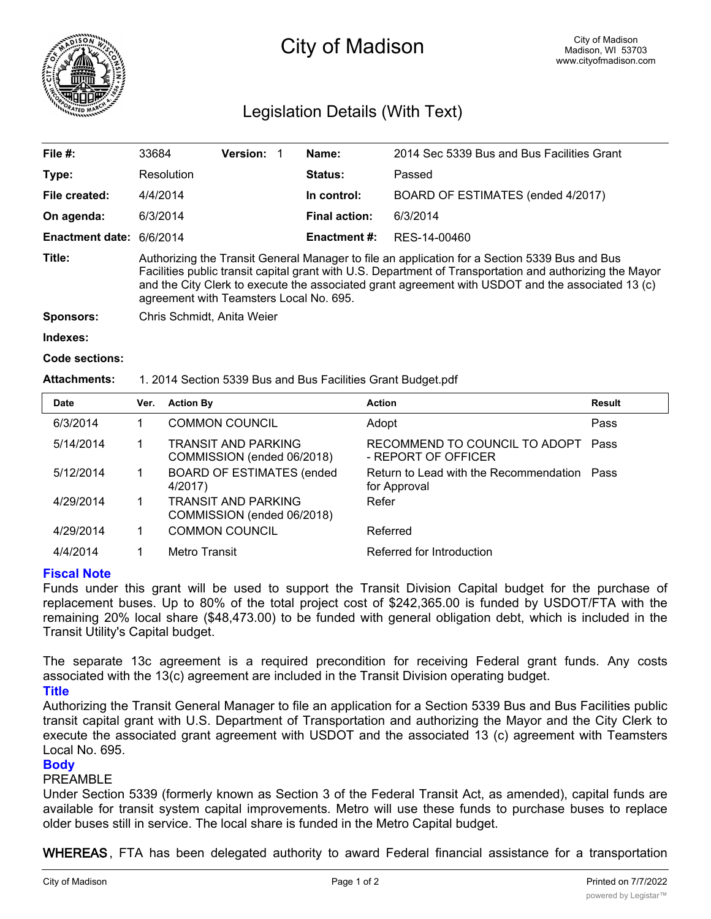

# City of Madison

# Legislation Details (With Text)

| File $#$ :             | 33684                                                                                                                                                                                                                                                                                                                                                     | <b>Version:</b> |  | Name:               | 2014 Sec 5339 Bus and Bus Facilities Grant |  |
|------------------------|-----------------------------------------------------------------------------------------------------------------------------------------------------------------------------------------------------------------------------------------------------------------------------------------------------------------------------------------------------------|-----------------|--|---------------------|--------------------------------------------|--|
| Type:                  | Resolution                                                                                                                                                                                                                                                                                                                                                |                 |  | Status:             | Passed                                     |  |
| File created:          | 4/4/2014                                                                                                                                                                                                                                                                                                                                                  |                 |  | In control:         | BOARD OF ESTIMATES (ended 4/2017)          |  |
| On agenda:             | 6/3/2014                                                                                                                                                                                                                                                                                                                                                  |                 |  | Final action:       | 6/3/2014                                   |  |
| <b>Enactment date:</b> | 6/6/2014                                                                                                                                                                                                                                                                                                                                                  |                 |  | <b>Enactment #:</b> | RES-14-00460                               |  |
| Title:                 | Authorizing the Transit General Manager to file an application for a Section 5339 Bus and Bus<br>Facilities public transit capital grant with U.S. Department of Transportation and authorizing the Mayor<br>and the City Clerk to execute the associated grant agreement with USDOT and the associated 13 (c)<br>agreement with Teamsters Local No. 695. |                 |  |                     |                                            |  |
| Sponsors:              | Chris Schmidt, Anita Weier                                                                                                                                                                                                                                                                                                                                |                 |  |                     |                                            |  |

**Indexes:**

```
Code sections:
```
#### **Attachments:** 1. 2014 Section 5339 Bus and Bus Facilities Grant Budget.pdf

| <b>Date</b> | Ver. | <b>Action By</b>                                         | <b>Action</b>                                               | Result |
|-------------|------|----------------------------------------------------------|-------------------------------------------------------------|--------|
| 6/3/2014    |      | <b>COMMON COUNCIL</b>                                    | Adopt                                                       | Pass   |
| 5/14/2014   |      | <b>TRANSIT AND PARKING</b><br>COMMISSION (ended 06/2018) | RECOMMEND TO COUNCIL TO ADOPT Pass<br>- REPORT OF OFFICER   |        |
| 5/12/2014   |      | <b>BOARD OF ESTIMATES (ended</b><br>4/2017)              | Return to Lead with the Recommendation Pass<br>for Approval |        |
| 4/29/2014   |      | <b>TRANSIT AND PARKING</b><br>COMMISSION (ended 06/2018) | Refer                                                       |        |
| 4/29/2014   |      | <b>COMMON COUNCIL</b>                                    | Referred                                                    |        |
| 4/4/2014    |      | Metro Transit                                            | Referred for Introduction                                   |        |

## **Fiscal Note**

Funds under this grant will be used to support the Transit Division Capital budget for the purchase of replacement buses. Up to 80% of the total project cost of \$242,365.00 is funded by USDOT/FTA with the remaining 20% local share (\$48,473.00) to be funded with general obligation debt, which is included in the Transit Utility's Capital budget.

The separate 13c agreement is a required precondition for receiving Federal grant funds. Any costs associated with the 13(c) agreement are included in the Transit Division operating budget.

**Title**

Authorizing the Transit General Manager to file an application for a Section 5339 Bus and Bus Facilities public transit capital grant with U.S. Department of Transportation and authorizing the Mayor and the City Clerk to execute the associated grant agreement with USDOT and the associated 13 (c) agreement with Teamsters Local No. 695.

#### **Body**

#### PREAMBLE

Under Section 5339 (formerly known as Section 3 of the Federal Transit Act, as amended), capital funds are available for transit system capital improvements. Metro will use these funds to purchase buses to replace older buses still in service. The local share is funded in the Metro Capital budget.

**WHEREAS**, FTA has been delegated authority to award Federal financial assistance for a transportation